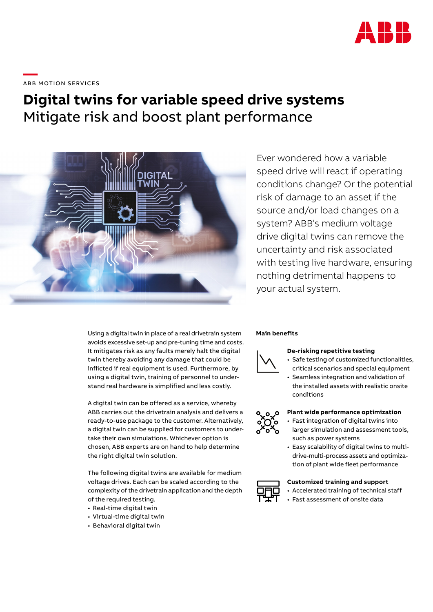

# \_\_\_\_<br>ABB MOTION SERVICES

# **Digital twins for variable speed drive systems** Mitigate risk and boost plant performance



Ever wondered how a variable speed drive will react if operating conditions change? Or the potential risk of damage to an asset if the source and/or load changes on a system? ABB's medium voltage drive digital twins can remove the uncertainty and risk associated with testing live hardware, ensuring nothing detrimental happens to your actual system.

Using a digital twin in place of a real drivetrain system avoids excessive set-up and pre-tuning time and costs. It mitigates risk as any faults merely halt the digital twin thereby avoiding any damage that could be inflicted if real equipment is used. Furthermore, by using a digital twin, training of personnel to understand real hardware is simplified and less costly.

A digital twin can be offered as a service, whereby ABB carries out the drivetrain analysis and delivers a ready-to-use package to the customer. Alternatively, a digital twin can be supplied for customers to undertake their own simulations. Whichever option is chosen, ABB experts are on hand to help determine the right digital twin solution.

The following digital twins are available for medium voltage drives. Each can be scaled according to the complexity of the drivetrain application and the depth of the required testing.

- Real-time digital twin
- Virtual-time digital twin
- Behavioral digital twin

### **Main benefits**



# **De-risking repetitive testing**

- Safe testing of customized functionalities, critical scenarios and special equipment
- Seamless integration and validation of the installed assets with realistic onsite conditions

#### **Plant wide performance optimization**

- Fast integration of digital twins into larger simulation and assessment tools, such as power systems
- Easy scalability of digital twins to multidrive-multi-process assets and optimization of plant wide fleet performance

#### **Customized training and support**

- Accelerated training of technical staff
- Fast assessment of onsite data